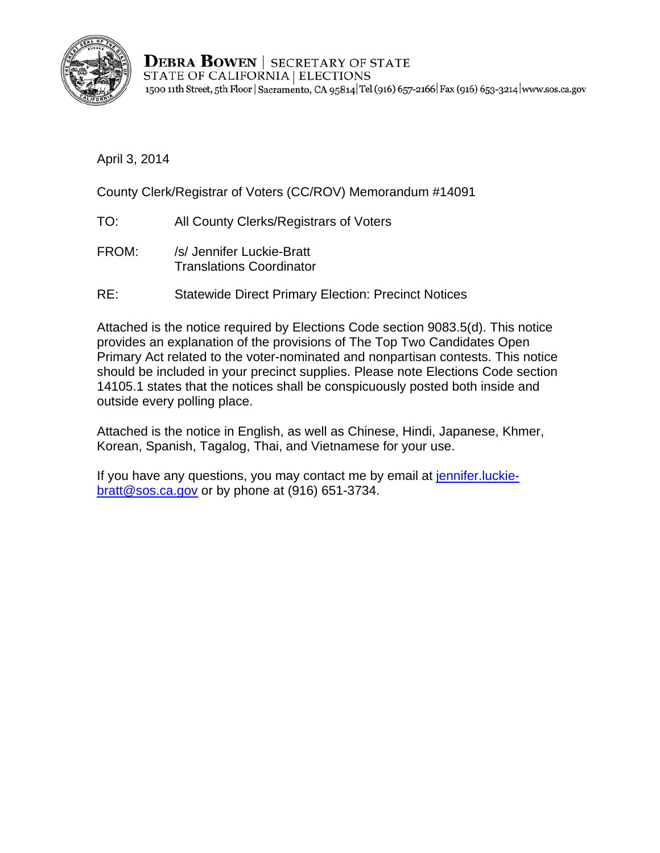

**DEBRA BOWEN** | SECRETARY OF STATE STATE OF CALIFORNIA | ELECTIONS 1500 11th Street, 5th Floor | Sacramento, CA 95814 Tel (916) 657-2166 | Fax (916) 653-3214 | www.sos.ca.gov

April 3, 2014

County Clerk/Registrar of Voters (CC/ROV) Memorandum #14091

- TO: All County Clerks/Registrars of Voters
- FROM: /s/ Jennifer Luckie-Bratt Translations Coordinator
- RE: Statewide Direct Primary Election: Precinct Notices

Attached is the notice required by Elections Code section 9083.5(d). This notice provides an explanation of the provisions of The Top Two Candidates Open Primary Act related to the voter-nominated and nonpartisan contests. This notice should be included in your precinct supplies. Please note Elections Code section 14105.1 states that the notices shall be conspicuously posted both inside and outside every polling place.

Attached is the notice in English, as well as Chinese, Hindi, Japanese, Khmer, Korean, Spanish, Tagalog, Thai, and Vietnamese for your use.

If you have any questions, you may contact me by email at jennifer. luckiebratt@sos.ca.gov or by phone at (916) 651-3734.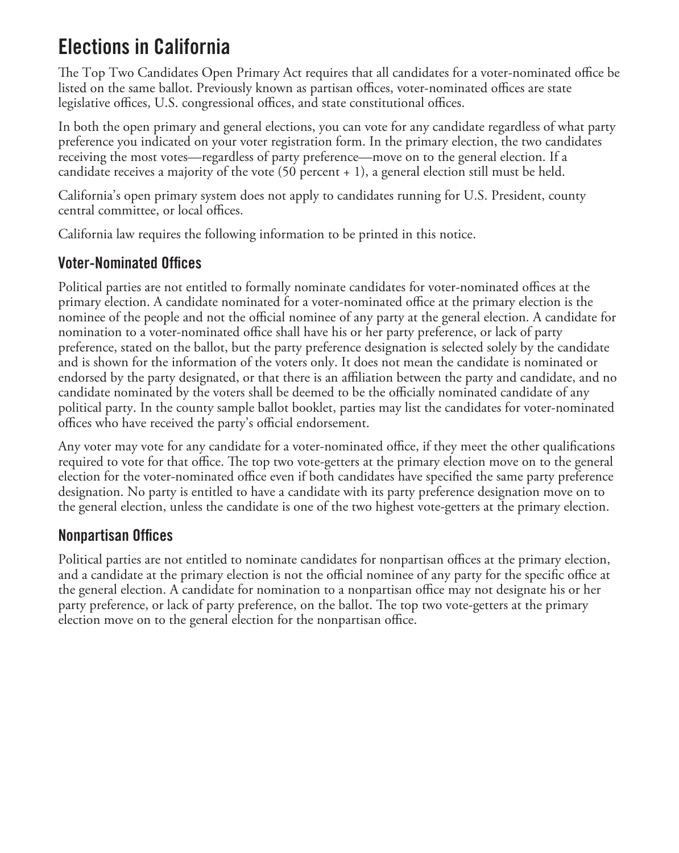### Elections in California

The Top Two Candidates Open Primary Act requires that all candidates for a voter-nominated office be listed on the same ballot. Previously known as partisan offices, voter-nominated offices are state legislative offices, U.S. congressional offices, and state constitutional offices.

In both the open primary and general elections, you can vote for any candidate regardless of what party preference you indicated on your voter registration form. In the primary election, the two candidates receiving the most votes—regardless of party preference—move on to the general election. If a candidate receives a majority of the vote  $(50$  percent  $+ 1)$ , a general election still must be held.

California's open primary system does not apply to candidates running for U.S. President, county central committee, or local offices.

California law requires the following information to be printed in this notice.

#### Voter-Nominated Offices

Political parties are not entitled to formally nominate candidates for voter-nominated offices at the primary election. A candidate nominated for a voter-nominated office at the primary election is the nominee of the people and not the official nominee of any party at the general election. A candidate for nomination to a voter-nominated office shall have his or her party preference, or lack of party preference, stated on the ballot, but the party preference designation is selected solely by the candidate and is shown for the information of the voters only. It does not mean the candidate is nominated or endorsed by the party designated, or that there is an affiliation between the party and candidate, and no candidate nominated by the voters shall be deemed to be the officially nominated candidate of any political party. In the county sample ballot booklet, parties may list the candidates for voter-nominated offices who have received the party's official endorsement.

Any voter may vote for any candidate for a voter-nominated office, if they meet the other qualifications required to vote for that office. The top two vote-getters at the primary election move on to the general election for the voter-nominated office even if both candidates have specified the same party preference designation. No party is entitled to have a candidate with its party preference designation move on to the general election, unless the candidate is one of the two highest vote-getters at the primary election.

#### Nonpartisan Offices

Political parties are not entitled to nominate candidates for nonpartisan offices at the primary election, and a candidate at the primary election is not the official nominee of any party for the specific office at the general election. A candidate for nomination to a nonpartisan office may not designate his or her party preference, or lack of party preference, on the ballot. The top two vote-getters at the primary election move on to the general election for the nonpartisan office.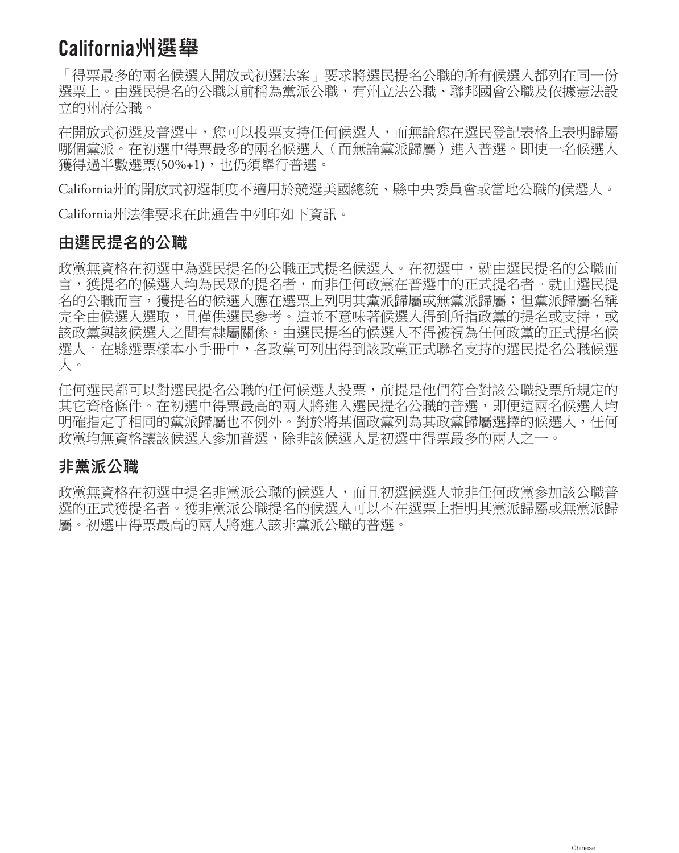### California**州選舉**

「得票最多的兩名候選人開放式初選法案」要求將選民提名公職的所有候選人都列在同一份 選票上。由選民提名的公職以前稱為黨派公職,有州立法公職、聯邦國會公職及依據憲法設 立的州府公職。

在開放式初選及普選中,您可以投票支持任何候選人,而無論您在選民登記表格上表明歸屬 哪個黨派。在初選中得票最多的兩名候選人(而無論黨派歸屬)進入普選。即使一名候選人 獲得過半數選票(50%+1),也仍須舉行普選。

California州的開放式初選制度不適用於競選美國總統、縣中央委員會或當地公職的候選人。

California州法律要求在此通告中列印如下資訊。

#### **由選民提名的公職**

政黨無資格在初選中為選民提名的公職正式提名候選人。在初選中,就由選民提名的公職而 言,獲提名的候選人均為民眾的提名者,而非任何政黨在普選中的正式提名者。就由選民提 名的公職而言,獲提名的候選人應在選票上列明其黨派歸屬或無黨派歸屬;但黨派歸屬名稱 完全由候選人選取,日僅供選民參考。這並不意味著候選人得到所指政黨的提名或支持,或 該政黨與該候選人之間有隸屬關係。由選民提名的候選人不得被視為任何政黨的正式提名候 選人。在縣選票樣本小手冊中,各政黨可列出得到該政黨正式聯名支持的選民提名公職候選 人。

任何選民都可以對選民提名公職的任何候選人投票,前提是他們符合對該公職投票所規定的 其它資格條件。在初選中得票最高的兩人將進入選民提名公職的普選,即便這兩名候選人均 明確指定了相同的黨派歸屬也不例外。對於將某個政黨列為其政黨歸屬選擇的候選人,任何 政黨均無資格讓該候選人參加普選,除非該候選人是初選中得票最多的兩人之一。

#### **非黨派公職**

政黨無資格在初選中提名非黨派公職的候選人,而且初選候選人並非任何政黨參加該公職普 選的正式獲提名者。獲非黨派公職提名的候選人可以不在選票上指明其黨派歸屬或無黨派歸 屬。初選中得票最高的兩人將進入該非黨派公職的普選。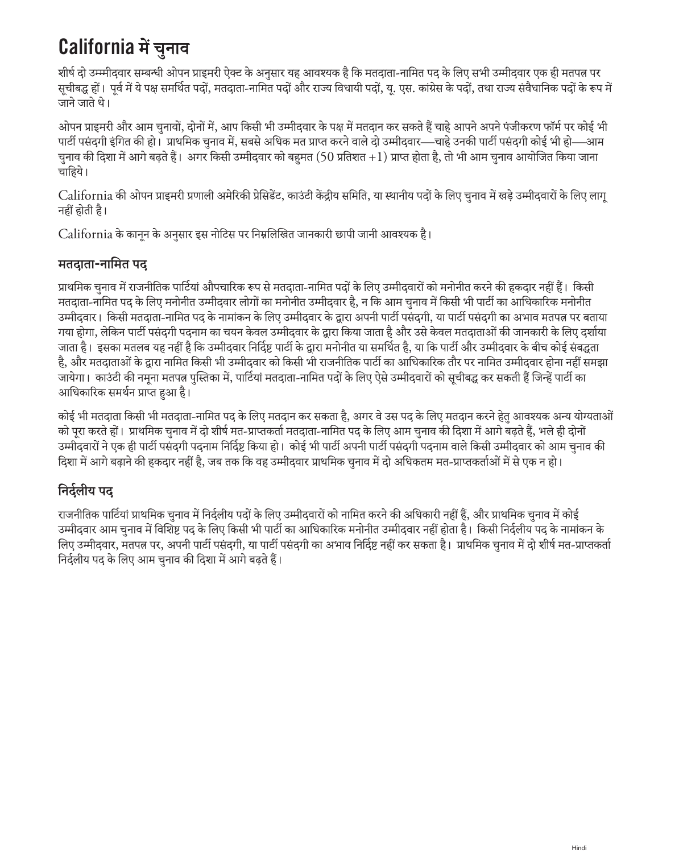### California **में चुनाव**

शीर्ष दो उम्म्मीदवार सम्बन्धी ओपन प्राइमरी ऐक्ट के अनुसार यह आवश्यक है कि मतदाता-नामित पद के लिए सभी उम्मीदवार एक ही मतपत्र पर सूचीबद्ध हों। पूर्व में ये पक्ष समर्थित पदों, मतदाता-नामित पदों और राज्य विधायी पदों, यू. एस. कांग्रेस के पदों, तथा राज्य संवैधानिक पदों के रूप में जाने जाते थे।

ओपन प्राइमरी और आम चुनावों, दोनों में, आप किसी भी उम्मीदवार के पक्ष में मतदान कर सकते हैं चाहे आपने अपने पंजीकरण फॉर्म पर कोई भी पार्टी पसंदगी इंगित की हो। प्राथमिक चुनाव में, सबसे अधिक मत प्राप्त करने वाले दो उम्मीदवार—चाहे उनकी पार्टी पसंदगी कोई भी हो—आम चुनाव की दिशा में आगे बढ़ते हैं। अगर किसी उम्मीदवार को बहुमत (50 प्रतिशत +1) प्राप्त होता है, तो भी आम चुनाव आयोजित किया जाना चाहिये।

California की ओपन प्राइमरी प्रणाली अमेरिकी प्रेसिडेंट, काउंटी केंद्रीय समिति, या स्थानीय पदों के लिए चुनाव में खड़े उम्मीदवारों के लिए लागू नहीं होती है।

California के कानून के अनुसार इस नोटिस पर निम्नलिखित जानकारी छापी जानी आवश्यक है।

#### **मतदाता-नामित पद**

प्राथमिक चुनाव में राजनीतिक पार्टियां औपचारिक रूप से मतदाता-नामित पदों के लिए उम्मीदवारों को मनोनीत करने की हकदार नहीं हैं। किसी मतदाता-नामित पद के लिए मनोनीत उम्मीदवार लोगों का मनोनीत उम्मीदवार है, न कि आम चुनाव में किसी भी पार्टी का आधिकारिक मनोनीत उम्मीदवार। किसी मतदाता-नामित पद के नामांकन के लिए उम्मीदवार के द्वारा अपनी पार्टी पसंदगी, या पार्टी पसंदगी का अभाव मतपत्न पर बताया गया होगा, लेकिन पार्टी पसंदगी पदनाम का चयन केवल उम्मीदवार के द्वारा किया जाता है और उसे केवल मतदाताओं की जानकारी के लिए दर्शाया जाता है। इसका मतलब यह नहीं है कि उम्मीदवार निर्दिष्ट पार्टी के द्वारा मनोनीत या समर्थित है, या कि पार्टी और उम्मीदवार के बीच कोई संबद्धता है, और मतदाताओं के द्वारा नामित किसी भी उम्मीदवार को किसी भी राजनीतिक पार्टी का आधिकारिक तौर पर नामित उम्मीदवार होना नहीं समझा जायेगा। काउंटी की नमूना मतपत्न पुस्तिका में, पार्टियां मतदाता-नामित पदों के लिए ऐसे उम्मीदवारों को सूचीबद्ध कर सकती हैं जिन्हें पार्टी का आधिकारिक समर्थन प्राप्त हुआ है।

कोई भी मतदाता किसी भी मतदाता-नामित पद के लिए मतदान कर सकता है, अगर वे उस पद के लिए मतदान करने हेतु आवश्यक अन्य योग्यताओं को पूरा करते हों। प्राथमिक चुनाव में दो शीर्ष मत-प्राप्तकर्ता मतदाता-नामित पद के लिए आम चुनाव की दिशा में आगे बढ़ते हैं, भले ही दोनों उम्मीदवारों ने एक ही पार्टी पसंदगी पदनाम निर्दिष्ट किया हो। कोई भी पार्टी अपनी पार्टी पसंदगी पदनाम वाले किसी उम्मीदवार को आम चुनाव की दिशा में आगे बढ़ाने की हकदार नहीं है, जब तक कि वह उम्मीदवार प्राथमिक चुनाव में दो अधिकतम मत-प्राप्तकर्ताओं में से एक न हो।

#### **निर्दलीय पद**

राजनीतिक पार्टियां प्राथमिक चुनाव में निर्दलीय पदों के लिए उम्मीदवारों को नामित करने की अधिकारी नहीं हैं, और प्राथमिक चुनाव में कोई उम्मीदवार आम चुनाव में विशिष्ट पद के लिए किसी भी पार्टी का आधिकारिक मनोनीत उम्मीदवार नहीं होता है। किसी निर्दलीय पद के नामांकन के लिए उम्मीदवार, मतपत्न पर, अपनी पार्टी पसंदगी, या पार्टी पसंदगी का अभाव निर्दिष्ट नहीं कर सकता है। प्राथमिक चुनाव में दो शीर्ष मत-प्राप्तकर्ता निर्दलीय पद के लिए आम चुनाव की दिशा में आगे बढ़ते हैं।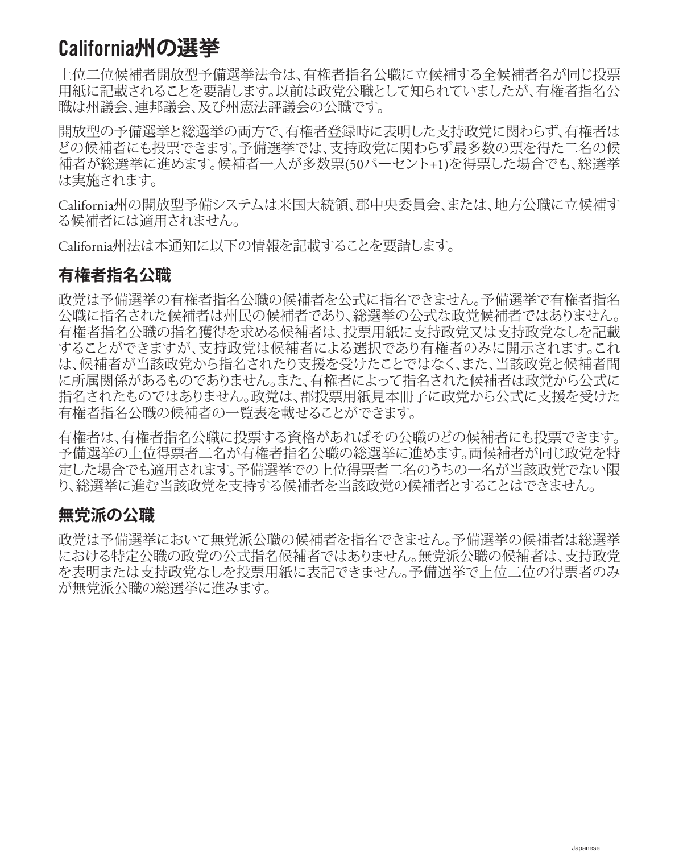### California**州の選挙**

上位二位候補者開放型予備選挙法令は、有権者指名公職に立候補する全候補者名が同じ投票 用紙に記載されることを要請します。以前は政党公職として知られていましたが、有権者指名公 職は州議会、連邦議会、及び州憲法評議会の公職です。

開放型の予備選挙と総選挙の両方で、有権者登録時に表明した支持政党に関わらず、有権者は どの候補者にも投票できます。予備選挙では、支持政党に関わらず最多数の票を得た二名の候 補者が総選挙に進めます。候補者一人が多数票(50パーセント+1)を得票した場合でも、総選挙 は実施されます。

California州の開放型予備システムは米国大統領、郡中央委員会、または、地方公職に立候補す る候補者には適用されません。

California州法は本通知に以下の情報を記載することを要請します。

#### **有権者指名公職**

政党は予備選挙の有権者指名公職の候補者を公式に指名できません。予備選挙で有権者指名 公職に指名された候補者は州民の候補者であり、総選挙の公式な政党候補者ではありません。 有権者指名公職の指名獲得を求める候補者は、投票用紙に支持政党又は支持政党なしを記載 することができますが、支持政党は候補者による選択であり有権者のみに開示されます。これ は、候補者が当該政党から指名されたり支援を受けたことではなく、また、当該政党と候補者間 に所属関係があるものでありません。また、有権者によって指名された候補者は政党から公式に 指名されたものではありません。政党は、郡投票用紙見本冊子に政党から公式に支援を受けた 有権者指名公職の候補者の一覧表を載せることができます。

有権者は、有権者指名公職に投票する資格があればその公職のどの候補者にも投票できます。 予備選挙の上位得票者二名が有権者指名公職の総選挙に進めます。両候補者が同じ政党を特 定した場合でも適用されます。予備選挙での上位得票者二名のうちの一名が当該政党でない限 り、総選挙に進む当該政党を支持する候補者を当該政党の候補者とすることはできません。

#### **無党派の公職**

政党は予備選挙において無党派公職の候補者を指名できません。予備選挙の候補者は総選挙 における特定公職の政党の公式指名候補者ではありません。無党派公職の候補者は、支持政党 を表明または支持政党なしを投票用紙に表記できません。予備選挙で上位二位の得票者のみ が無党派公職の総選挙に進みます。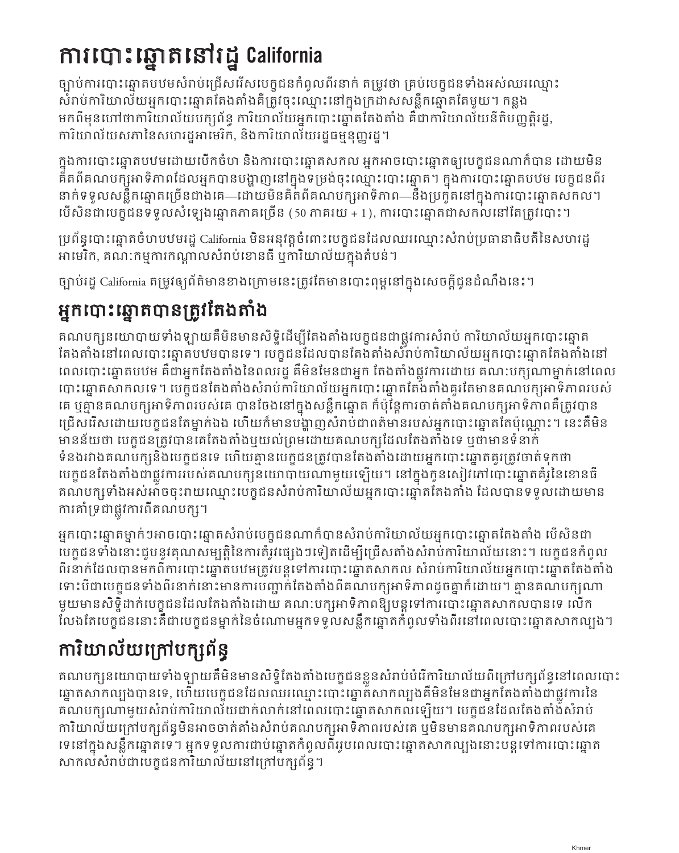## ការបោះឆ្នោតនៅរដ្ឋ California

ចបាប់ការបោះឆ្នោតបឋមសំរាប់ជ្រើសរើសបេក្ខជនកំពូលពីរនាក់ តម្រូវថា គ្រប់បេក្ខជនទាំងអស់ឈរឈ្មោះ សំរាប់ការិយាល័យអ្នកបោះឆ្នោតតែងតាំងគឺត្រូវចុះឈ្មោះនៅក្នុងក្រដាសសន្លឹកឆ្នោតតែមួយ។ កន្លង មកពីមុនហៅថាការិយាល័យបក្សព័ន្ធ ការិយាល័យអ្នកបោះឆ្នោតតែងតាំង គឺជាការិយាល័យនីតិបញ្ញត្តិរដ្ឋ, ការិយាល័យសភានៃសហរដ្ឋអាមេរិក, និងការិយាល័យរដ្ឋធម្មនុញ្ញរដ្ឋ។

ក្នុងការបោះឆ្នោតបឋមដោយបើកចំហ និងការបោះឆ្នោតសកល អ្នកអាចបោះឆ្នោតឲ្យបេក្ខជនណាក៏បាន ដោយមិន គិតពីគណបក្សអាទិភាពដែលអ្នកបានបង្ហាញនៅក្នុងទម្រង់ចុះឈ្មោះបោះឆ្នោត។ ក្នុងការបោះឆ្នោតបឋម បេក្ខជនពីរ នាក់ទទួលសន្លឹកឆ្នោតច្រើនជាងគេ—ដោយមិនគិតពីគណបក្សអាទិភាព—នឹងប្រកួតនៅក្នុងការបោះឆ្នោតសកល។ ប ើសិនជាបេក្ខជនទទួលសំឡេងឆ្នោតភាគច្រើន (50 ភាគរយ + 1), ការបោះឆ្នោតជាសកលនៅតែត្រូវបោះ។

ប្រព័ន្ធបោះឆ្នោតចំហបឋមរដ្ឋCalifornia មិនអនុវត្តចំពោះបេក្ខជនដែលឈរឈ្មោះសំរាប់ប្រធានាធិបតីនៃសហរដ្ឋ អាមេរិក, គណៈកម្មការកណ្លសំរាប់ខោនធីឬការិយាល័យក្នុងតំបន់។

ច្បាប់រដ្ឋ California តម្រូវឲ្យព័ត៌មានខាងក្រោមនេះត្រូវតែមានបោះពុម្ពនៅក្នុងសេចក្តីជូនដំណឹងនេះ។

### អ្នកបោះឆ្នោតបានត្រូវតែងតាំង

គណបក្សនយោបាយទាំងឡាយគឺមិនមានសិទ្ធិដើម្បីតែងតាំងបេក្ខជនជាផ្លូវការសំរាប់ ការិយាល័យអ្នកបោះឆ្នោត តែងតាំងនៅពេលបោះឆ្នោតបឋមបានទេ។ បេក្ខជនដែលបានតែងតាំងសំរាប់ការិយាល័យអ្នកបោះឆ្នោតតែងតាំងនៅ ពេលបោះឆ្នោតបឋម គឺជាអ្នកតែងតាំងនៃពលរដ្ឋ គឺមិនមែនជាអ្នក តែងតាំងផ្លូវការដោយ គណ:បក្សណាម្នាក់នៅពេល បោះឆ្នោតសាកលទេ។ បេក្ខជនតែងតាំងសំរាប់ការិយាល័យអ្នកបោះឆ្នោតតែងតាំងគួរតែមានគណបក្សអាទិភាពរបស់ គេ ឬគ្មានគណបក្សអាទិភាពរបស់គេ បានចែងនៅក្នុងសន្លឹកឆ្នោត ក៏ប៉ុន្តែការចាត់តាំងគណបក្សអាទិភាពគឺត្រូវបាន ជ្រើសរើសដោយបេក្ខជនតែម្នាក់ឯង ហើយក៏មានបង្ញសំរាប់ជាពត៌មានរបស់អ្នកបោះឆ្នោតតែប៉ុណ្ណោះ។ នេះគឺមិន មានន័យថា បេក្ខជនត្រូវបានគេតែងតាំងឬយល់ព្រមដោយគណបក្សដែលតែងតាំងទេ ឬថាមានទំនាក់ ទំនងរវាងគណបក្សនិងបេក្ខជនទេ ហើយគ្មានបេក្ខជនត្រូវបានតែងតាំងដោយអ្នកបោះឆ្នោតគូរត្រូវចាត់ទុកថា បេក្ខជនតែងតាំងជាផ្លូវការរបស់គណបក្សនយោបាយណាមួយឡើយ។ នៅក្នុងកូនសៀវភៅបោះឆ្នោតគំរូនៃខោនធី គណបក្សទាំងអស់អាចចុះរាយឈ្មោះបេក្ខជនសំរាប់ការិយាល័យអ្នកបោះឆ្នោតតែងតាំង ដែលបានទទួលដោយមាន ការគាំទ្រជាផ្លូវការពីគណបក្ស។

អ្នកបោះឆ្នោតម្នាក់ៗអាចបោះឆ្នោតសំរាប់បេក្ខជនណាក៏បានសំរាប់ការិយាល័យអ្នកបោះឆ្នោតតែងតាំង ប ើសិនជា បេក្ខជនទាំងនោះជួបនូវគុណសម្បត្តិនៃការតំរូវផ្សេងៗទៀតដើម្បីជ្រើសតាំងសំរាប់ការិយាល័យនោះ។ បេក្ខជនកំពូល ពីរនាក់ដែលបានមកពីការបោះឆ្នោតបឋមត្រូវបន្តទៅការបោះឆ្នោតសាកល សំរាប់ការិយាល័យអ្នកបោះឆ្នោតតែងតាំង ទោះបីជាបេក្ខជនទាំងពីរនាក់នោះមានការបញ្ជាក់តែងតាំងពីគណបក្សអាទិភាពដូចគ្នាក៏ដោយ។ គ្មានគណបក្សណា មួយមានសិទ្ធិដាក់បេក្ខជនដែលតែងតាំងដោយ គណ:បក្សអាទិភាពឱ្យបន្តទៅការបោះឆ្នោតសាកលបានទេ លើក លែងតែបេក្ខជននោះគឺជាបេក្ខជនម្នាក់នៃចំណោមអ្នកទទួលសន្លឹកឆ្នោតកំពូលទាំងពីរនៅពេលបោះឆ្នោតសាកលបង។

## ការិយាល័យក្រៅបក្សព័ន្ធ

គណបក្សនយោបាយទាំងឡាយគឺមិនមានសិទ្ធិតែងតាំងបេក្ខជនខ្លួនសំរាប់បំរើការិយាល័យពីក្រៅបក្សព័ន្ធនៅពេលបោះ ឆ្នោតសាកលបងបានទេ, ហើយបេក្ខជនដែលឈរឈ្មោះបោះឆ្នោតសាកលបងគឺមិនមែនជាអ្នកតែងតាំងជាផ្លូវការនៃ គណបក្សណាមួយសំរាប់ការិយាល័យជាក់លាក់នៅពេលបោះឆ្នោតសាកលឡើយ។ បេក្ខជនដែលតែងតាំងសំរាប់ ការិយាល័យក្រៅបក្សព័ន្ធមិនអាចចាត់តាំងសំរាប់គណបក្សអាទិភាពរបស់គេ ឬមិនមានគណបក្សអាទិភាពរបស់គេ ទេនៅក្នុងសន្លឹកឆ្នោតទេ។ អ្នកទទួលការជាប់ឆ្នោតកំពូលពីររូបពេលបោះឆ្នោតសាកលបងនោះបន្តទៅការបោះឆ្នោត សាកល់សំរាប់ជាបេក្ខជនការិយាល័យនៅក្រៅបក្សព័ន្ធ។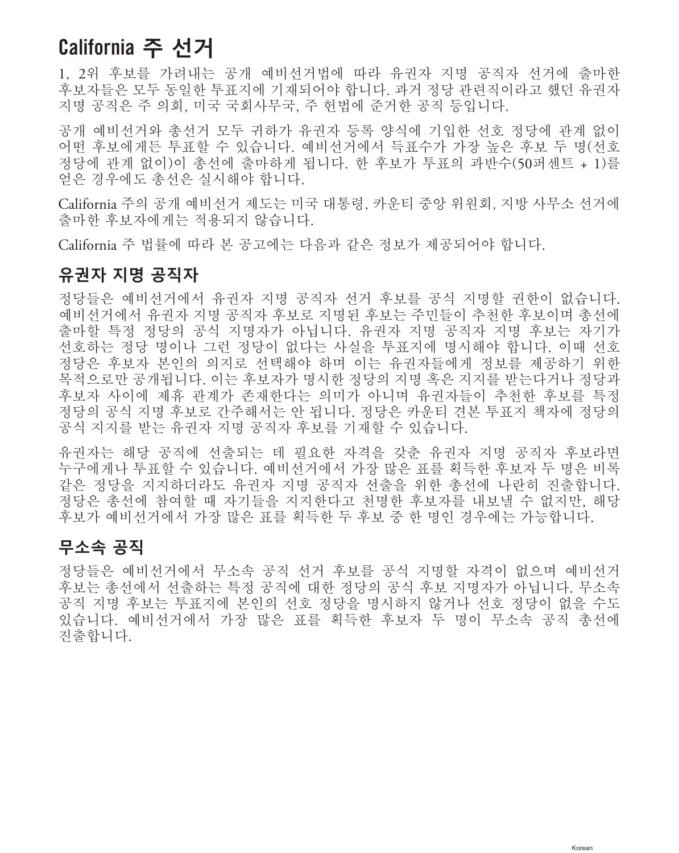### California **주 선거**

1, 2위 후보를 가려내는 공개 예비선거법에 따라 유권자 지명 공직자 선거에 출마한 후보자들은 모두 동일한 투표지에 기재되어야 합니다. 과거 정당 관련직이라고 했던 유권자 지명 공직은 주 의회, 미국 국회사무국, 주 헌법에 준거한 공직 등입니다.

공개 예비선거와 총선거 모두 귀하가 유권자 등록 양식에 기입한 선호 정당에 관계 없이 어떤 후보에게든 투표할 수 있습니다. 예비선거에서 득표수가 가장 높은 후보 두 명(선호 정당에 관계 없이)이 총선에 출마하게 됩니다. 한 후보가 투표의 과반수(50퍼센트 + 1)를 얻은 경우에도 총선은 실시해야 합니다.

California 주의 공개 예비선거 제도는 미국 대통령, 카운티 중앙 위원회, 지방 사무소 선거에 출마한 후보자에게는 적용되지 않습니다.

California 주 법률에 따라 본 공고에는 다음과 같은 정보가 제공되어야 합니다.

#### **유권자 지명 공직자**

정당들은 예비선거에서 유권자 지명 공직자 선거 후보를 공식 지명할 권한이 없습니다. 예비선거에서 유권자 지명 공직자 후보로 지명된 후보는 주민들이 추천한 후보이며 총선에 출마할 특정 정당의 공식 지명자가 아닙니다. 유권자 지명 공직자 지명 후보는 자기가 선호하는 정당 명이나 그런 정당이 없다는 사실을 투표지에 명시해야 합니다. 이때 선호 정당은 후보자 본인의 의지로 선택해야 하며 이는 유권자들에게 정보를 제공하기 위한 목적으로만 공개됩니다. 이는 후보자가 명시한 정당의 지명 혹은 지지를 받는다거나 정당과 후보자 사이에 제휴 관계가 존재한다는 의미가 아니며 유권자들이 추천한 후보를 특정 정당의 공식 지명 후보로 간주해서는 안 됩니다. 정당은 카운티 견본 투표지 책자에 정당의 공식 지지를 받는 유권자 지명 공직자 후보를 기재할 수 있습니다.

유권자는 해당 공직에 선출되는 데 필요한 자격을 갖춘 유권자 지명 공직자 후보라면 누구에게나 투표할 수 있습니다. 예비선거에서 가장 많은 표를 획득한 후보자 두 명은 비록 같은 정당을 지지하더라도 유권자 지명 공직자 선출을 위한 총선에 나란히 진출합니다. 정당은 총선에 참여할 때 자기들을 지지한다고 천명한 후보자를 내보낼 수 없지만, 해당 후보가 예비선거에서 가장 많은 표를 획득한 두 후보 중 한 명인 경우에는 가능합니다.

#### **무소속 공직**

정당들은 예비선거에서 무소속 공직 선거 후보를 공식 지명할 자격이 없으며 예비선거 후보는 총선에서 선출하는 특정 공직에 대한 정당의 공식 후보 지명자가 아닙니다. 무소속 공직 지명 후보는 투표지에 본인의 선호 정당을 명시하지 않거나 선호 정당이 없을 수도 있습니다. 예비선거에서 가장 많은 표를 획득한 후보자 두 명이 무소속 공직 총선에 진출합니다.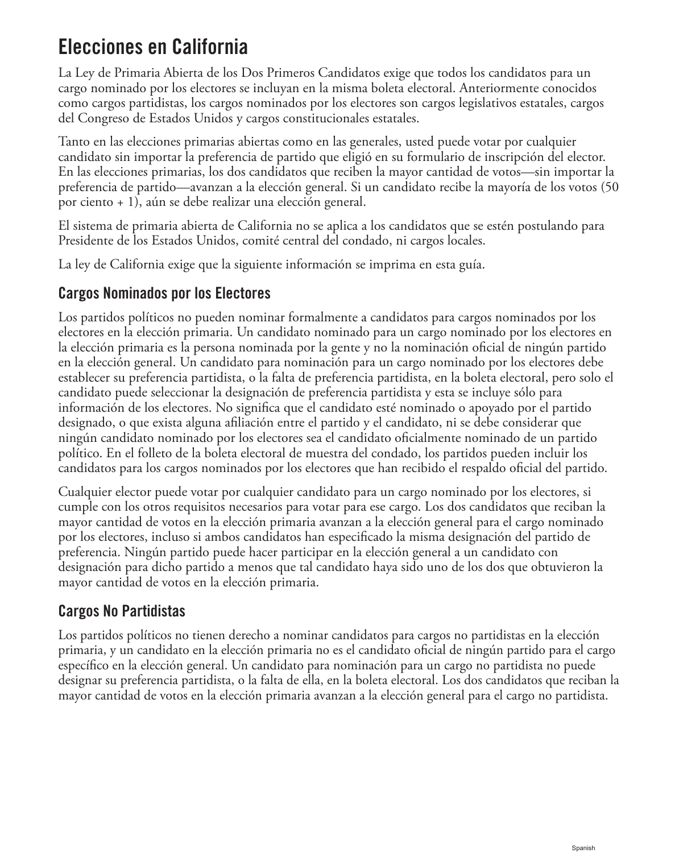### Elecciones en California

La Ley de Primaria Abierta de los Dos Primeros Candidatos exige que todos los candidatos para un cargo nominado por los electores se incluyan en la misma boleta electoral. Anteriormente conocidos como cargos partidistas, los cargos nominados por los electores son cargos legislativos estatales, cargos del Congreso de Estados Unidos y cargos constitucionales estatales.

Tanto en las elecciones primarias abiertas como en las generales, usted puede votar por cualquier candidato sin importar la preferencia de partido que eligió en su formulario de inscripción del elector. En las elecciones primarias, los dos candidatos que reciben la mayor cantidad de votos—sin importar la preferencia de partido—avanzan a la elección general. Si un candidato recibe la mayoría de los votos (50 por ciento + 1), aún se debe realizar una elección general.

El sistema de primaria abierta de California no se aplica a los candidatos que se estén postulando para Presidente de los Estados Unidos, comité central del condado, ni cargos locales.

La ley de California exige que la siguiente información se imprima en esta guía.

#### Cargos Nominados por los Electores

Los partidos políticos no pueden nominar formalmente a candidatos para cargos nominados por los electores en la elección primaria. Un candidato nominado para un cargo nominado por los electores en la elección primaria es la persona nominada por la gente y no la nominación oficial de ningún partido en la elección general. Un candidato para nominación para un cargo nominado por los electores debe establecer su preferencia partidista, o la falta de preferencia partidista, en la boleta electoral, pero solo el candidato puede seleccionar la designación de preferencia partidista y esta se incluye sólo para información de los electores. No significa que el candidato esté nominado o apoyado por el partido designado, o que exista alguna afiliación entre el partido y el candidato, ni se debe considerar que ningún candidato nominado por los electores sea el candidato oficialmente nominado de un partido político. En el folleto de la boleta electoral de muestra del condado, los partidos pueden incluir los candidatos para los cargos nominados por los electores que han recibido el respaldo oficial del partido.

Cualquier elector puede votar por cualquier candidato para un cargo nominado por los electores, si cumple con los otros requisitos necesarios para votar para ese cargo. Los dos candidatos que reciban la mayor cantidad de votos en la elección primaria avanzan a la elección general para el cargo nominado por los electores, incluso si ambos candidatos han especificado la misma designación del partido de preferencia. Ningún partido puede hacer participar en la elección general a un candidato con designación para dicho partido a menos que tal candidato haya sido uno de los dos que obtuvieron la mayor cantidad de votos en la elección primaria.

#### Cargos No Partidistas

Los partidos políticos no tienen derecho a nominar candidatos para cargos no partidistas en la elección primaria, y un candidato en la elección primaria no es el candidato oficial de ningún partido para el cargo específico en la elección general. Un candidato para nominación para un cargo no partidista no puede designar su preferencia partidista, o la falta de ella, en la boleta electoral. Los dos candidatos que reciban la mayor cantidad de votos en la elección primaria avanzan a la elección general para el cargo no partidista.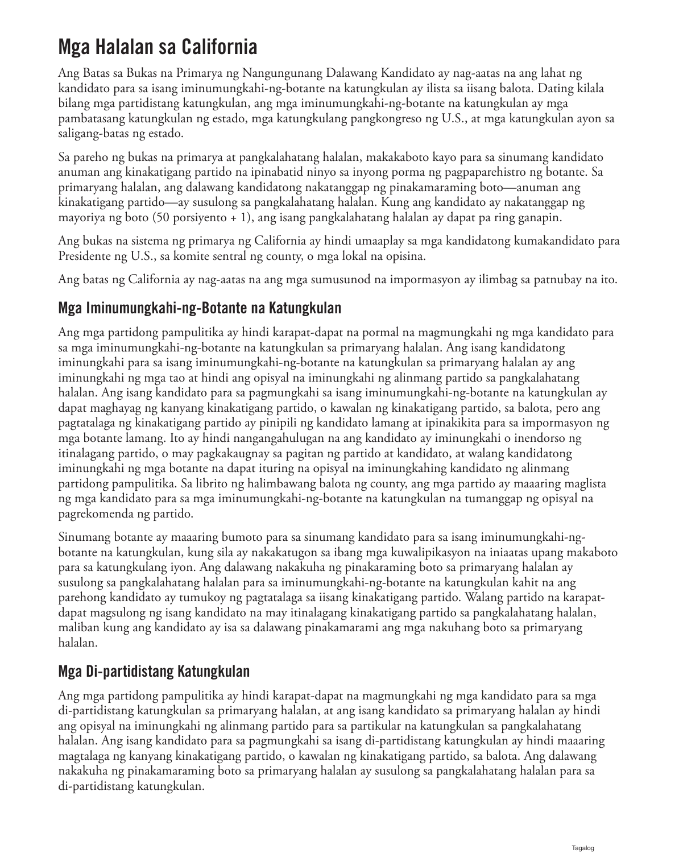### Mga Halalan sa California

Ang Batas sa Bukas na Primarya ng Nangungunang Dalawang Kandidato ay nag-aatas na ang lahat ng kandidato para sa isang iminumungkahi-ng-botante na katungkulan ay ilista sa iisang balota. Dating kilala bilang mga partidistang katungkulan, ang mga iminumungkahi-ng-botante na katungkulan ay mga pambatasang katungkulan ng estado, mga katungkulang pangkongreso ng U.S., at mga katungkulan ayon sa saligang-batas ng estado.

Sa pareho ng bukas na primarya at pangkalahatang halalan, makakaboto kayo para sa sinumang kandidato anuman ang kinakatigang partido na ipinabatid ninyo sa inyong porma ng pagpaparehistro ng botante. Sa primaryang halalan, ang dalawang kandidatong nakatanggap ng pinakamaraming boto—anuman ang kinakatigang partido—ay susulong sa pangkalahatang halalan. Kung ang kandidato ay nakatanggap ng mayoriya ng boto (50 porsiyento + 1), ang isang pangkalahatang halalan ay dapat pa ring ganapin.

Ang bukas na sistema ng primarya ng California ay hindi umaaplay sa mga kandidatong kumakandidato para Presidente ng U.S., sa komite sentral ng county, o mga lokal na opisina.

Ang batas ng California ay nag-aatas na ang mga sumusunod na impormasyon ay ilimbag sa patnubay na ito.

#### Mga Iminumungkahi-ng-Botante na Katungkulan

Ang mga partidong pampulitika ay hindi karapat-dapat na pormal na magmungkahi ng mga kandidato para sa mga iminumungkahi-ng-botante na katungkulan sa primaryang halalan. Ang isang kandidatong iminungkahi para sa isang iminumungkahi-ng-botante na katungkulan sa primaryang halalan ay ang iminungkahi ng mga tao at hindi ang opisyal na iminungkahi ng alinmang partido sa pangkalahatang halalan. Ang isang kandidato para sa pagmungkahi sa isang iminumungkahi-ng-botante na katungkulan ay dapat maghayag ng kanyang kinakatigang partido, o kawalan ng kinakatigang partido, sa balota, pero ang pagtatalaga ng kinakatigang partido ay pinipili ng kandidato lamang at ipinakikita para sa impormasyon ng mga botante lamang. Ito ay hindi nangangahulugan na ang kandidato ay iminungkahi o inendorso ng itinalagang partido, o may pagkakaugnay sa pagitan ng partido at kandidato, at walang kandidatong iminungkahi ng mga botante na dapat ituring na opisyal na iminungkahing kandidato ng alinmang partidong pampulitika. Sa librito ng halimbawang balota ng county, ang mga partido ay maaaring maglista ng mga kandidato para sa mga iminumungkahi-ng-botante na katungkulan na tumanggap ng opisyal na pagrekomenda ng partido.

Sinumang botante ay maaaring bumoto para sa sinumang kandidato para sa isang iminumungkahi-ngbotante na katungkulan, kung sila ay nakakatugon sa ibang mga kuwalipikasyon na iniaatas upang makaboto para sa katungkulang iyon. Ang dalawang nakakuha ng pinakaraming boto sa primaryang halalan ay susulong sa pangkalahatang halalan para sa iminumungkahi-ng-botante na katungkulan kahit na ang parehong kandidato ay tumukoy ng pagtatalaga sa iisang kinakatigang partido. Walang partido na karapatdapat magsulong ng isang kandidato na may itinalagang kinakatigang partido sa pangkalahatang halalan, maliban kung ang kandidato ay isa sa dalawang pinakamarami ang mga nakuhang boto sa primaryang halalan.

#### Mga Di-partidistang Katungkulan

Ang mga partidong pampulitika ay hindi karapat-dapat na magmungkahi ng mga kandidato para sa mga di-partidistang katungkulan sa primaryang halalan, at ang isang kandidato sa primaryang halalan ay hindi ang opisyal na iminungkahi ng alinmang partido para sa partikular na katungkulan sa pangkalahatang halalan. Ang isang kandidato para sa pagmungkahi sa isang di-partidistang katungkulan ay hindi maaaring magtalaga ng kanyang kinakatigang partido, o kawalan ng kinakatigang partido, sa balota. Ang dalawang nakakuha ng pinakamaraming boto sa primaryang halalan ay susulong sa pangkalahatang halalan para sa di-partidistang katungkulan.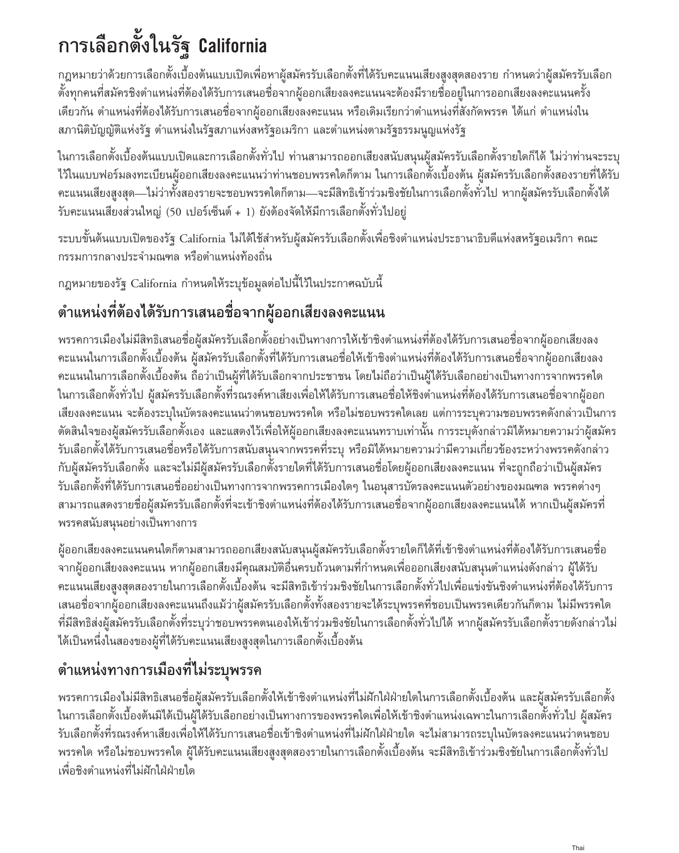# **การเลือกตั้งในรัฐ** California

กฎหมายว่าด้วยการเลือกตั้งเบื้องต้นแบบเปิดเพื่อหาผู้สมัครรับเลือกตั้งที่ได้รับคะแนนเสียงสูงสุดสองราย กำหนดว่าผู้สมัครรับเลือก ตั้งทุกคนที่สมัครชิงตำแหน่งที่ต้องได้รับการเสนอชื่อจากผู้ออกเสียงลงคะแนนจะต้องมีรายชื่ออยู่ในการออกเสียงลงคะแนนครั้ง เดียวกัน ตำแหน่งที่ต้องได้รับการเสนอชื่อจากผู้ออกเสียงลงคะแนน หรือเดิมเรียกว่าตำแหน่งที่สังกัดพรรค ได้แก่ ตำแหน่งใน สภานิติบัญญัติแห่งรัฐ ตำแหน่งในรัฐสภาแห่งสหรัฐอเมริกา และตำแหน่งตามรัฐธรรมนูญแห่งรัฐ

ในการเลือกตั้งเบื้องต้นแบบเปิดและการเลือกตั้งทั่วไป ท่านสามารถออกเสียงสนับสนุนผู้สมัครรับเลือกตั้งรายใดก็ได้ ไม่ว่าท่านจะระบุ ไว้ในแบบฟอร์มลงทะเบียนผู้ออกเสียงลงคะแนนว่าท่านชอบพรรคใดก็ตาม ในการเลือกตั้งเบื้องต้น ผู้สมัครรับเลือกตั้งสองรายที่ได้รับ คะแนนเสียงสูงสุด—ไม่ว่าทั้งสองรายจะชอบพรรคใดก็ตาม—จะมีสิทธิเข้าร่วมชิงชัยในการเลือกตั้งทั่วไป หากผู้สมัครรับเลือกตั้งได้ รับคะแนนเสียงส่วนใหญ่ (50 เปอร์เซ็นต์ + 1) ยังต้องจัดให้มีการเลือกตั้งทั่วไปอยู่

ระบบขั้นต้นแบบเปิดของรัฐ California ไม่ได้ใช้สำหรับผู้สมัครรับเลือกตั้งเพื่อชิงตำแหน่งประธานาธิบดีแห่งสหรัฐอเมริกา คณะ กรรมการกลางประจำมณฑล หรือตำแหน่งท้องถิ่น

กฎหมายของรัฐ California ก�ำหนดให้ระบุข้อมูลต่อไปนี้ไว้ในประกาศฉบับนี้

### **ต�ำแหน่งที่ต้องได้รับการเสนอชื่อจากผู้ออกเสียงลงคะแนน**

พรรคการเมืองไม่มีสิทธิเสนอชื่อผู้สมัครรับเลือกตั้งอย่างเป็นทางการให้เข้าชิงตำแหน่งที่ต้องได้รับการเสนอชื่อจากผู้ออกเสียงลง คะแนนในการเลือกตั้งเบื้องต้น ผู้สมัครรับเลือกตั้งที่ได้รับการเสนอชื่อให้เข้าชิงตำแหน่งที่ต้องได้รับการเสนอชื่อจากผู้ออกเสียงลง คะแนนในการเลือกตั้งเบื้องต้น ถือว่าเป็นผู้ที่ได้รับเลือกจากประชาชน โดยไม่ถือว่าเป็นผู้ได้รับเลือกอย่างเป็นทางการจากพรรคใด ในการเลือกตั้งทั่วไป ผู้สมัครรับเลือกตั้งที่รณรงค์หาเสียงเพื่อให้ได้รับการเสนอชื่อให้ชิงตำแหน่งที่ต้องได้รับการเสนอชื่อจากผู้ออก เสียงลงคะแนน จะต้องระบุในบัตรลงคะแนนว่าตนชอบพรรคใด หรือไม่ชอบพรรคใดเลย แต่การระบุความชอบพรรคดังกล่าวเป็นการ ตัดสินใจของผู้สมัครรับเลือกตั้งเอง และแสดงไว้เพื่อให้ผู้ออกเสียงลงคะแนนทราบเท่านั้น การระบุดังกล่าวมิได้หมายความว่าผู้สมัคร รับเลือกตั้งได้รับการเสนอชื่อหรือได้รับการสนับสนุนจากพรรคที่ระบุ หรือมิได้หมายความว่ามีความเกี่ยวข้องระหว่างพรรคดังกล่าว กับผู้สมัครรับเลือกตั้ง และจะไม่มีผู้สมัครรับเลือกตั้งรายใดที่ได้รับการเสนอชื่อโดยผู้ออกเสียงลงคะแนน ที่จะถูกถือว่าเป็นผู้สมัคร รับเลือกตั้งที่ได้รับการเสนอชื่ออย่างเป็นทางการจากพรรคการเมืองใดๆ ในอนุสารบัตรลงคะแนนตัวอย่างของมณฑล พรรคต่างๆ สามารถแสดงรายชื่อผู้สมัครรับเลือกตั้งที่จะเข้าชิงตำแหน่งที่ต้องได้รับการเสนอชื่อจากผู้ออกเสียงลงคะแนนได้ หากเป็นผู้สมัครที่ พรรคสนับสนุนอย่างเป็นทางการ

ผู้ออกเสียงลงคะแนนคนใดก็ตามสามารถออกเสียงสนับสนุนผู้สมัครรับเลือกตั้งรายใดก็ได้ที่เข้าชิงต�ำแหน่งที่ต้องได้รับการเสนอชื่อ จากผู้ออกเสียงลงคะแนน หากผู้ออกเสียงมีคุณสมบัติอื่นครบถ้วนตามที่กำหนดเพื่อออกเสียงสนับสนุนตำแหน่งดังกล่าว ผู้ได้รับ ้คะแนนเสียงสูงสุดสองรายในการเลือกตั้งเบื้องต้น จะมีสิทธิเข้าร่วมชิงชัยในการเลือกตั้งทั่วไปเพื่อแข่งขันชิงตำแหน่งที่ต้องได้รับการ เสนอชื่อจากผู้ออกเสียงลงคะแนนถึงแม้ว่าผู้สมัครรับเลือกตั้งทั้งสองรายจะได้ระบุพรรคที่ชอบเป็นพรรคเดียวกันก็ตาม ไม่มีพรรคใด ที่มีสิทธิส่งผู้สมัครรับเลือกตั้งที่ระบุว่าชอบพรรคตนเองให้เข้าร่วมชิงชัยในการเลือกตั้งทั่วไปได้ หากผู้สมัครรับเลือกตั้งรายดังกล่าวไม่ ได้เป็นหนึ่งในสองของผู้ที่ได้รับคะแนนเสียงสูงสุดในการเลือกตั้งเบื้องต้น

### **ต�ำแหน่งทางการเมืองที่ไม่ระบุพรรค**

พรรคการเมืองไม่มีสิทธิเสนอชื่อผู้สมัครรับเลือกตั้งให้เข้าชิงตำแหน่งที่ไม่ฝักใฝ่ฝ่ายใดในการเลือกตั้งเบื้องต้น และผู้สมัครรับเลือกตั้ง ในการเลือกตั้งเบื้องต้นมิได้เป็นผู้ได้รับเลือกอย่างเป็นทางการของพรรคใดเพื่อให้เข้าชิงตำแหน่งเฉพาะในการเลือกตั้งทั่วไป ผู้สมัคร รับเลือกตั้งที่รณรงค์หาเสียงเพื่อให้ได้รับการเสนอชื่อเข้าชิงตำแหน่งที่ไม่ฝักใฝ่ฝ่ายใด จะไม่สามารถระบุในบัตรลงคะแนนว่าตนชอบ พรรคใด หรือไม่ชอบพรรคใด ผู้ได้รับคะแนนเสียงสูงสุดสองรายในการเลือกตั้งเบื้องต้น จะมีสิทธิเข้าร่วมชิงชัยในการเลือกตั้งทั่วไป เพื่อชิงต�ำแหน่งที่ไม่ฝักใฝ่ฝ่ายใด